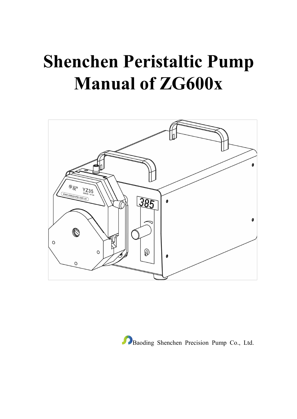# **Shenchen Peristaltic Pump Manual of ZG600x**



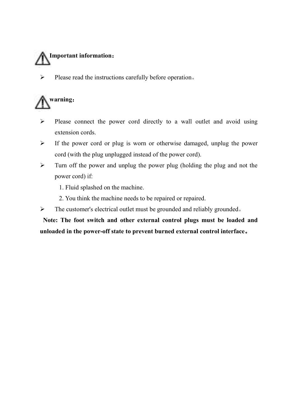

 $\triangleright$  Please read the instructions carefully before operation.

## **warning**:

- $\triangleright$  Please connect the power cord directly to a wall outlet and avoid using extension cords.
- $\triangleright$  If the power cord or plug is worn or otherwise damaged, unplug the power cord (with the plug unplugged instead of the power cord).
- $\triangleright$  Turn off the power and unplug the power plug (holding the plug and not the power cord) if:
	- 1. Fluid splashed on the machine.
	- 2. You think the machine needs to be repaired or repaired.
- The customer's electrical outlet must be grounded and reliably grounded。

**Note: The footswitch and other external control plugs must be loaded and unloaded in the power-off state to prevent burned external control interface**。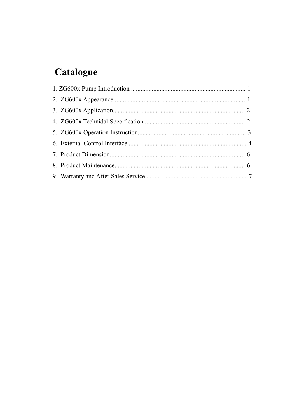### Catalogue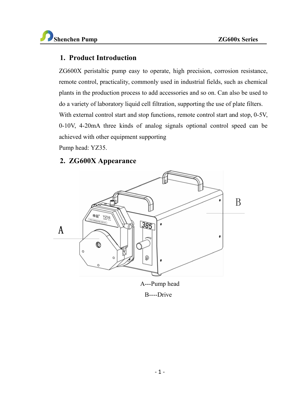#### **1. Product Introduction**

 $ZG600X$  peristaltic pump easy to operate, high precision, corrosion resistance, remote control, practicality, commonly used in industrial fields, such as chemical plants in the production process to add accessories and so on. Can also be used to do a variety of laboratory liquid cellfiltration, supporting the use of plate filters. With external control start and stop functions, remote control start and stop, 0-5V, 0-10V, 4-20mA three kinds of analog signals optional control speed can be achieved with other equipment supporting

Pump head: YZ35.

#### **2. ZG600X Appearance**



A---Pump head

B----Drive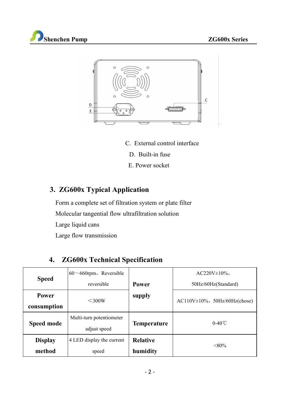



- C. External control interface
	- D. Built-in fuse
	- E. Power socket

#### **3. ZG600x Typical Application**

Form a complete set of filtration system or plate filter

Molecular tangential flow ultrafiltration solution

Large liquid cans

Large flow transmission

### **4. ZG600x Technical Specification**

|                | $60 \sim 660$ rpm, Reversible |                             | $AC220V \pm 10\%$                    |
|----------------|-------------------------------|-----------------------------|--------------------------------------|
| <b>Speed</b>   | reversible                    | Power                       | 50Hz/60Hz(Standard)                  |
| Power          | $\leq$ 300W                   | supply                      | $AC110V \pm 10\%$ , 50Hz/60Hz(chose) |
| consumption    |                               |                             |                                      |
|                | Multi-turn potentiometer      | Temperature                 | $0-40^{\circ}$ C                     |
| Speed mode     | adjust speed                  |                             |                                      |
| <b>Display</b> | 4 LED display the current     | <b>Relative</b><br>humidity | $< 80\%$                             |
| method         | speed                         |                             |                                      |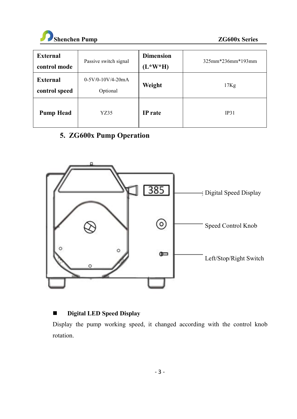

| <b>External</b><br>control mode | Passive switch signal           | <b>Dimension</b><br>$(L*W*H)$ | 325mm*236mm*193mm |
|---------------------------------|---------------------------------|-------------------------------|-------------------|
| External<br>control speed       | $0-5V/0-10V/4-20mA$<br>Optional | Weight                        | 17Kg              |
| <b>Pump Head</b>                | YZ35                            | IP rate                       | IP31              |

#### **5. ZG600x Pump Operation**



#### **Digital LED Speed Display**

Display the pump working speed, it changed according with the control knob rotation.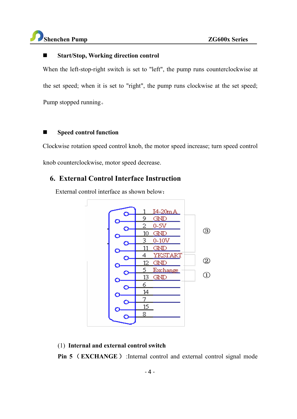#### **Start/Stop, Working direction control**

When the left-stop-right switch is set to "left", the pump runs counterclockwise at the set speed; when it is set to "right", the pump runs clockwise at the set speed; Pump stopped running。

#### **Speed control function**

Clockwise rotation speed control knob, the motor speed increase; turn speed control knob counterclockwise, motor speed decrease.

#### **6. External Control Interface Instruction**

External control interface as shown below:



#### (1) **Internal and external control switch**

**Pin 5** (**EXCHANGE**): Internal control and external control signal mode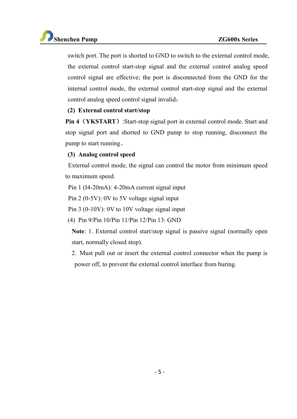

switch port. The port is shorted to GND to switch to the external control mode, the external control start-stop signal and the external control analog speed control signal are effective; the port is disconnected from the GND for the internal control mode, the external control start-stop signal and the external control analog speed control signal invalid;

#### **(2) External control start/stop**

**Pin 4**(**YKSTART**):Start-stop signal port in external control mode. Start and stop signal port and shorted to GND pump to stop running, disconnect the pump to start running。

#### **(3) Analog control speed**

External control mode, the signal can control the motor from minimum speed to maximum speed.

Pin 1 (I4-20mA): 4-20mA current signal input

Pin 2 (0-5V): 0V to 5V voltage signal input

Pin 3 (0-10V): 0V to 10V voltage signal input

(4) Pin 9/Pin 10/Pin 11/Pin 12/Pin 13: GND

**Note**: 1. External control start/stop signal is passive signal (normally open start, normally closed stop).

2. Must pull out or insert the external control connector when the pump is power off, to prevent the external control interface from buring.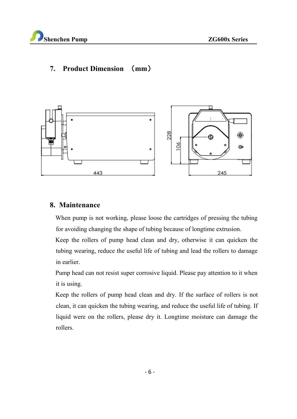

#### **7. Product Dimension** (**mm**)



#### **8. Maintenance**

When pump is not working, please loose the cartridges of pressing the tubing for avoiding changing the shape of tubing because of longtime extrusion.

Keep the rollers of pump head clean and dry, otherwise it can quicken the tubing wearing, reduce the useful life of tubing and lead the rollers to damage in earlier.

Pump head can not resist super corrosive liquid. Please pay attention to it when it is using.<br>Keep the rollers of pump head clean and dry. If the surface of rollers is not

clean, it can quicken the tubing wearing, and reduce the useful life of tubing. If liquid were on the rollers, please dry it. Longtime moisture can damage the rollers.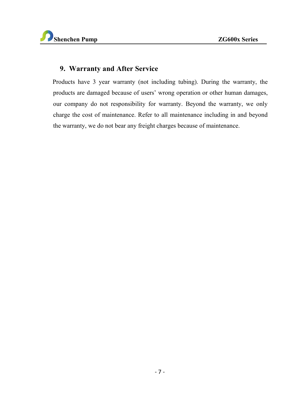#### **9. Warranty and After Service**

Products have 3 year warranty (not including tubing). During the warranty, the products are damaged because of users' wrong operation or other human damages, our company do not responsibility for warranty. Beyond the warranty, we only charge the cost of maintenance. Refer to all maintenance including in and beyond the warranty, we do not bear any freight charges because of maintenance.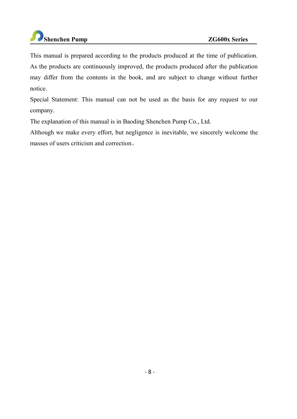This manual is prepared according to the products produced at the time of publication. As the products are continuously improved, the products produced after the publication may differ from the contents in the book, and are subject to change without further notice.

Special Statement: This manual can not be used as the basis for any request to our company.

The explanation of this manual is in Baoding Shenchen Pump Co., Ltd.

Although we make every effort, but negligence is inevitable, we sincerely welcome the masses of users criticism and correction。